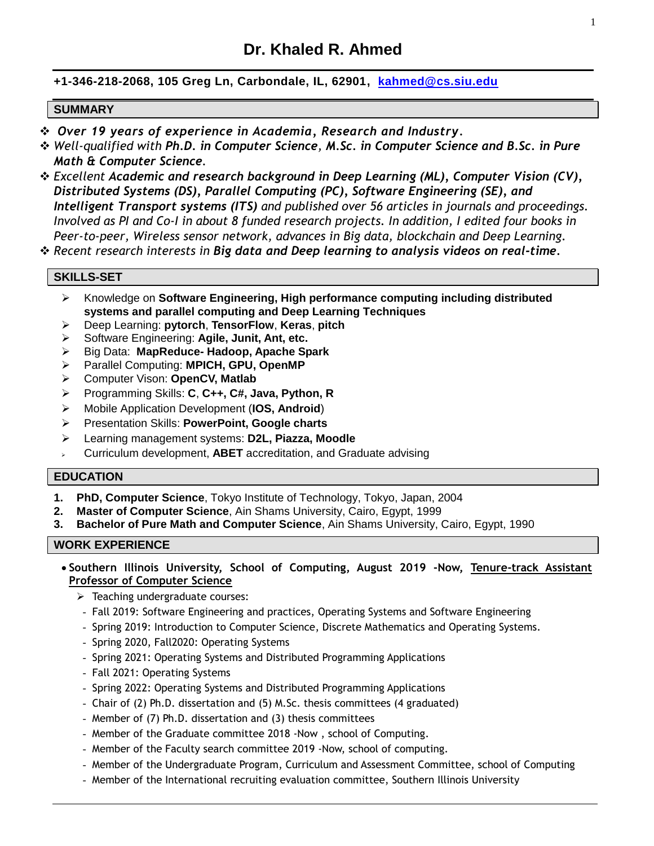# **+1-346-218-2068, 105 Greg Ln, Carbondale, IL, 62901, [kahmed@cs.siu.edu](mailto:kahmed@cs.siu.edu)**

#### **SUMMARY**

- ❖ *Over 19 years of experience in Academia, Research and Industry.*
- ❖ *Well-qualified with Ph.D. in Computer Science, M.Sc. in Computer Science and B.Sc. in Pure Math & Computer Science.*
- ❖ *Excellent Academic and research background in Deep Learning (ML), Computer Vision (CV), Distributed Systems (DS), Parallel Computing (PC), Software Engineering (SE), and Intelligent Transport systems (ITS) and published over 56 articles in journals and proceedings. Involved as PI and Co-I in about 8 funded research projects. In addition, I edited four books in Peer-to-peer, Wireless sensor network, advances in Big data, blockchain and Deep Learning.*

❖ *Recent research interests in Big data and Deep learning to analysis videos on real-time.*

#### **SKILLS-SET**

- ➢ Knowledge on **Software Engineering, High performance computing including distributed systems and parallel computing and Deep Learning Techniques**
- ➢ Deep Learning: **pytorch**, **TensorFlow**, **Keras**, **pitch**
- ➢ Software Engineering: **Agile, Junit, Ant, etc.**
- ➢ Big Data: **MapReduce- Hadoop, Apache Spark**
- ➢ Parallel Computing: **MPICH, GPU, OpenMP**
- ➢ Computer Vison: **OpenCV, Matlab**
- ➢ Programming Skills: **C**, **C++, C#, Java, Python, R**
- ➢ Mobile Application Development (**IOS, Android**)
- ➢ Presentation Skills: **PowerPoint, Google charts**
- ➢ Learning management systems: **D2L, Piazza, Moodle**
- ➢ Curriculum development, **ABET** accreditation, and Graduate advising

#### **EDUCATION**

- **1. PhD, Computer Science**, Tokyo Institute of Technology, Tokyo, Japan, 2004
- **2. Master of Computer Science**, Ain Shams University, Cairo, Egypt, 1999
- **3. Bachelor of Pure Math and Computer Science**, Ain Shams University, Cairo, Egypt, 1990

#### **WORK EXPERIENCE**

- **Southern Illinois University, School of Computing, August 2019 -Now, Tenure-track Assistant Professor of Computer Science** 
	- ➢ Teaching undergraduate courses:
	- Fall 2019: Software Engineering and practices, Operating Systems and Software Engineering
	- Spring 2019: Introduction to Computer Science, Discrete Mathematics and Operating Systems.
	- Spring 2020, Fall2020: Operating Systems
	- Spring 2021: Operating Systems and Distributed Programming Applications
	- Fall 2021: Operating Systems
	- Spring 2022: Operating Systems and Distributed Programming Applications
	- Chair of (2) Ph.D. dissertation and (5) M.Sc. thesis committees (4 graduated)
	- Member of (7) Ph.D. dissertation and (3) thesis committees
	- Member of the Graduate committee 2018 -Now , school of Computing.
	- Member of the Faculty search committee 2019 -Now, school of computing.
	- Member of the Undergraduate Program, Curriculum and Assessment Committee, school of Computing
	- Member of the International recruiting evaluation committee, Southern Illinois University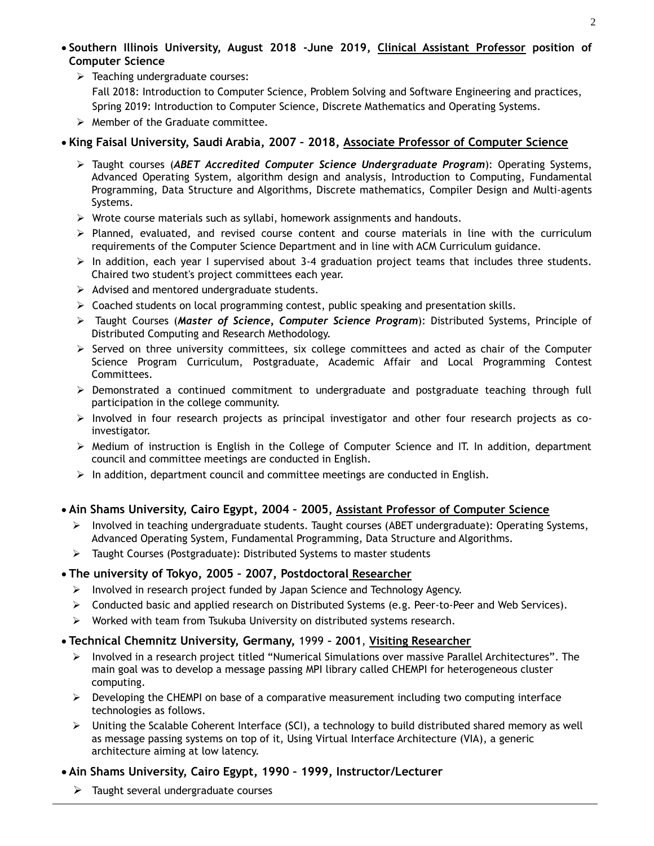- **Southern Illinois University, August 2018 -June 2019, Clinical Assistant Professor position of Computer Science**
	- ➢ Teaching undergraduate courses: Fall 2018: Introduction to Computer Science, Problem Solving and Software Engineering and practices, Spring 2019: Introduction to Computer Science, Discrete Mathematics and Operating Systems.
	- ➢ Member of the Graduate committee.

# • **King Faisal University, Saudi Arabia, 2007 – 2018, Associate Professor of Computer Science**

- ➢ Taught courses (*ABET Accredited Computer Science Undergraduate Program*): Operating Systems, Advanced Operating System, algorithm design and analysis, Introduction to Computing, Fundamental Programming, Data Structure and Algorithms, Discrete mathematics, Compiler Design and Multi-agents Systems.
- $\triangleright$  Wrote course materials such as syllabi, homework assignments and handouts.
- ➢ Planned, evaluated, and revised course content and course materials in line with the curriculum requirements of the Computer Science Department and in line with ACM Curriculum guidance.
- $\triangleright$  In addition, each year I supervised about 3-4 graduation project teams that includes three students. Chaired two student's project committees each year.
- ➢ Advised and mentored undergraduate students.
- ➢ Coached students on local programming contest, public speaking and presentation skills.
- ➢ Taught Courses (*Master of Science, Computer Science Program*): Distributed Systems, Principle of Distributed Computing and Research Methodology.
- $\triangleright$  Served on three university committees, six college committees and acted as chair of the Computer Science Program Curriculum, Postgraduate, Academic Affair and Local Programming Contest Committees.
- ➢ Demonstrated a continued commitment to undergraduate and postgraduate teaching through full participation in the college community.
- ➢ Involved in four research projects as principal investigator and other four research projects as coinvestigator.
- ➢ Medium of instruction is English in the College of Computer Science and IT. In addition, department council and committee meetings are conducted in English.
- $\triangleright$  In addition, department council and committee meetings are conducted in English.

## • **Ain Shams University, Cairo Egypt, 2004 – 2005, Assistant Professor of Computer Science**

- ➢ Involved in teaching undergraduate students. Taught courses (ABET undergraduate): Operating Systems, Advanced Operating System, Fundamental Programming, Data Structure and Algorithms.
- ➢ Taught Courses (Postgraduate): Distributed Systems to master students

## • **The university of Tokyo, 2005 – 2007, Postdoctoral Researcher**

- $\triangleright$  Involved in research project funded by Japan Science and Technology Agency.
- ➢ Conducted basic and applied research on Distributed Systems (e.g. Peer-to-Peer and Web Services).
- ➢ Worked with team from Tsukuba University on distributed systems research.

## • **Technical Chemnitz University, Germany,** 1999 **– 2001**, **Visiting Researcher**

- ➢ Involved in a research project titled "Numerical Simulations over massive Parallel Architectures". The main goal was to develop a message passing MPI library called CHEMPI for heterogeneous cluster computing.
- $\triangleright$  Developing the CHEMPI on base of a comparative measurement including two computing interface technologies as follows.
- $\triangleright$  Uniting the Scalable Coherent Interface (SCI), a technology to build distributed shared memory as well as message passing systems on top of it, Using Virtual Interface Architecture (VIA), a generic architecture aiming at low latency.

## • **Ain Shams University, Cairo Egypt, 1990 – 1999, Instructor/Lecturer**

 $\triangleright$  Taught several undergraduate courses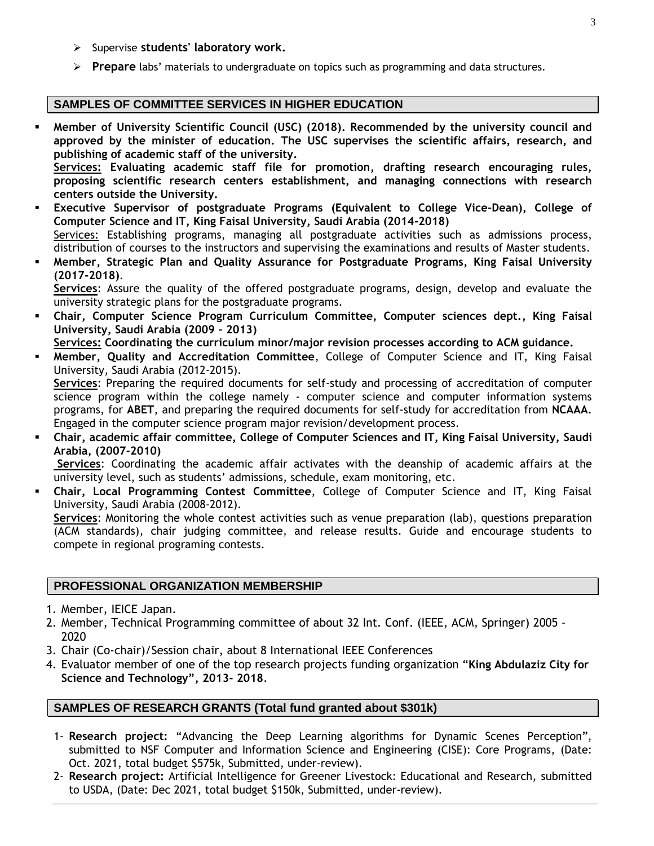- ➢ Supervise **students' laboratory work.**
- ➢ **Prepare** labs' materials to undergraduate on topics such as programming and data structures.

#### **SAMPLES OF COMMITTEE SERVICES IN HIGHER EDUCATION**

▪ **Member of University Scientific Council (USC) (2018). Recommended by the university council and approved by the minister of education. The USC supervises the scientific affairs, research, and publishing of academic staff of the university.**

**Services: Evaluating academic staff file for promotion, drafting research encouraging rules, proposing scientific research centers establishment, and managing connections with research centers outside the University.**

▪ **Executive Supervisor of postgraduate Programs (Equivalent to College Vice-Dean), College of Computer Science and IT, King Faisal University, Saudi Arabia (2014-2018)**

Services: Establishing programs, managing all postgraduate activities such as admissions process, distribution of courses to the instructors and supervising the examinations and results of Master students.

▪ **Member, Strategic Plan and Quality Assurance for Postgraduate Programs, King Faisal University (2017-2018)**.

**Services**: Assure the quality of the offered postgraduate programs, design, develop and evaluate the university strategic plans for the postgraduate programs.

▪ **Chair, Computer Science Program Curriculum Committee, Computer sciences dept., King Faisal University, Saudi Arabia (2009 – 2013)**

**Services: Coordinating the curriculum minor/major revision processes according to ACM guidance.**

▪ **Member, Quality and Accreditation Committee**, College of Computer Science and IT, King Faisal University, Saudi Arabia (2012-2015).

**Services**: Preparing the required documents for self-study and processing of accreditation of computer science program within the college namely - computer science and computer information systems programs, for **ABET**, and preparing the required documents for self-study for accreditation from **NCAAA**. Engaged in the computer science program major revision/development process.

▪ **Chair, academic affair committee, College of Computer Sciences and IT, King Faisal University, Saudi Arabia, (2007-2010)**

**Services**: Coordinating the academic affair activates with the deanship of academic affairs at the university level, such as students' admissions, schedule, exam monitoring, etc.

▪ **Chair, Local Programming Contest Committee**, College of Computer Science and IT, King Faisal University, Saudi Arabia (2008-2012).

**Services**: Monitoring the whole contest activities such as venue preparation (lab), questions preparation (ACM standards), chair judging committee, and release results. Guide and encourage students to compete in regional programing contests.

## **PROFESSIONAL ORGANIZATION MEMBERSHIP**

- 1. Member, IEICE Japan.
- 2. Member, Technical Programming committee of about 32 Int. Conf. (IEEE, ACM, Springer) 2005 2020
- 3. Chair (Co-chair)/Session chair, about 8 International IEEE Conferences
- 4. Evaluator member of one of the top research projects funding organization "**King Abdulaziz City for Science and Technology", 2013- 2018**.

## **SAMPLES OF RESEARCH GRANTS (Total fund granted about \$301k)**

- 1- **Research project:** "Advancing the Deep Learning algorithms for Dynamic Scenes Perception", submitted to NSF Computer and Information Science and Engineering (CISE): Core Programs, (Date: Oct. 2021, total budget \$575k, Submitted, under-review).
- 2- **Research project:** Artificial Intelligence for Greener Livestock: Educational and Research, submitted to USDA, (Date: Dec 2021, total budget \$150k, Submitted, under-review).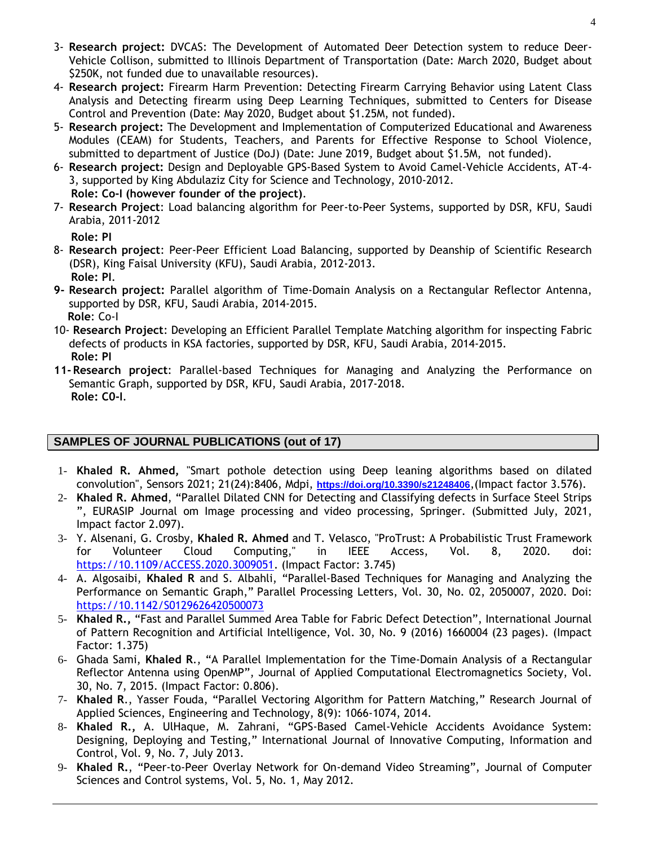- 3- **Research project:** DVCAS: The Development of Automated Deer Detection system to reduce Deer-Vehicle Collison, submitted to Illinois Department of Transportation (Date: March 2020, Budget about \$250K, not funded due to unavailable resources).
- 4- **Research project:** Firearm Harm Prevention: Detecting Firearm Carrying Behavior using Latent Class Analysis and Detecting firearm using Deep Learning Techniques, submitted to Centers for Disease Control and Prevention (Date: May 2020, Budget about \$1.25M, not funded).
- 5- **Research project:** The Development and Implementation of Computerized Educational and Awareness Modules (CEAM) for Students, Teachers, and Parents for Effective Response to School Violence, submitted to department of Justice (DoJ) (Date: June 2019, Budget about \$1.5M, not funded).
- 6- **Research project:** Design and Deployable GPS-Based System to Avoid Camel-Vehicle Accidents, AT-4- 3, supported by King Abdulaziz City for Science and Technology, 2010-2012.  **Role: Co-I (however founder of the project)**.
- 7- **Research Project**: Load balancing algorithm for Peer-to-Peer Systems, supported by DSR, KFU, Saudi Arabia, 2011-2012

 **Role: PI**

- 8- **Research project**: Peer-Peer Efficient Load Balancing, supported by Deanship of Scientific Research (DSR), King Faisal University (KFU), Saudi Arabia, 2012-2013.  **Role: PI**.
- **9- Research project:** Parallel algorithm of Time-Domain Analysis on a Rectangular Reflector Antenna, supported by DSR, KFU, Saudi Arabia, 2014-2015.  **Role**: Co-I
- 10- **Research Project**: Developing an Efficient Parallel Template Matching algorithm for inspecting Fabric defects of products in KSA factories, supported by DSR, KFU, Saudi Arabia, 2014-2015.  **Role: PI**
- **11- Research project**: Parallel-based Techniques for Managing and Analyzing the Performance on Semantic Graph, supported by DSR, KFU, Saudi Arabia, 2017-2018.  **Role: C0-I**.

## **SAMPLES OF JOURNAL PUBLICATIONS (out of 17)**

- 1- **Khaled R. Ahmed,** "Smart pothole detection using Deep leaning algorithms based on dilated convolution", Sensors 2021; 21(24):8406, Mdpi, **<https://doi.org/10.3390/s21248406>**,(Impact factor 3.576).
- 2- **Khaled R. Ahmed**, "Parallel Dilated CNN for Detecting and Classifying defects in Surface Steel Strips ", EURASIP Journal om Image processing and video processing, Springer. (Submitted July, 2021, Impact factor 2.097).
- 3- Y. Alsenani, G. Crosby, **Khaled R. Ahmed** and T. Velasco, "ProTrust: A Probabilistic Trust Framework for Volunteer Cloud Computing," in IEEE Access, Vol. 8, 2020. doi: [https://10.1109/ACCESS.2020.3009051.](https://10.0.4.85/ACCESS.2020.3009051) (Impact Factor: 3.745)
- 4- A. Algosaibi, **Khaled R** and S. Albahli, "Parallel-Based Techniques for Managing and Analyzing the Performance on Semantic Graph," Parallel Processing Letters, Vol. 30, No. 02, 2050007, 2020. Doi: [https://10.1142/S0129626420500073](https://10.0.4.118/S0129626420500073)
- 5- **Khaled R.,** "Fast and Parallel Summed Area Table for Fabric Defect Detection", International Journal of Pattern Recognition and Artificial Intelligence, Vol. 30, No. 9 (2016) 1660004 (23 pages). (Impact Factor: 1.375)
- 6- Ghada Sami, **Khaled R**., "A Parallel Implementation for the Time-Domain Analysis of a Rectangular Reflector Antenna using OpenMP", Journal of Applied Computational Electromagnetics Society, Vol. 30, No. 7, 2015. (Impact Factor: 0.806).
- 7- **Khaled R**., Yasser Fouda, "Parallel Vectoring Algorithm for Pattern Matching," Research Journal of Applied Sciences, Engineering and Technology, 8(9): 1066-1074, 2014.
- 8- **Khaled R.,** A. UlHaque, M. Zahrani, "GPS-Based Camel-Vehicle Accidents Avoidance System: Designing, Deploying and Testing," International Journal of Innovative Computing, Information and Control, Vol. 9, No. 7, July 2013.
- 9- **Khaled R.**, "Peer-to-Peer Overlay Network for On-demand Video Streaming", Journal of Computer Sciences and Control systems, Vol. 5, No. 1, May 2012.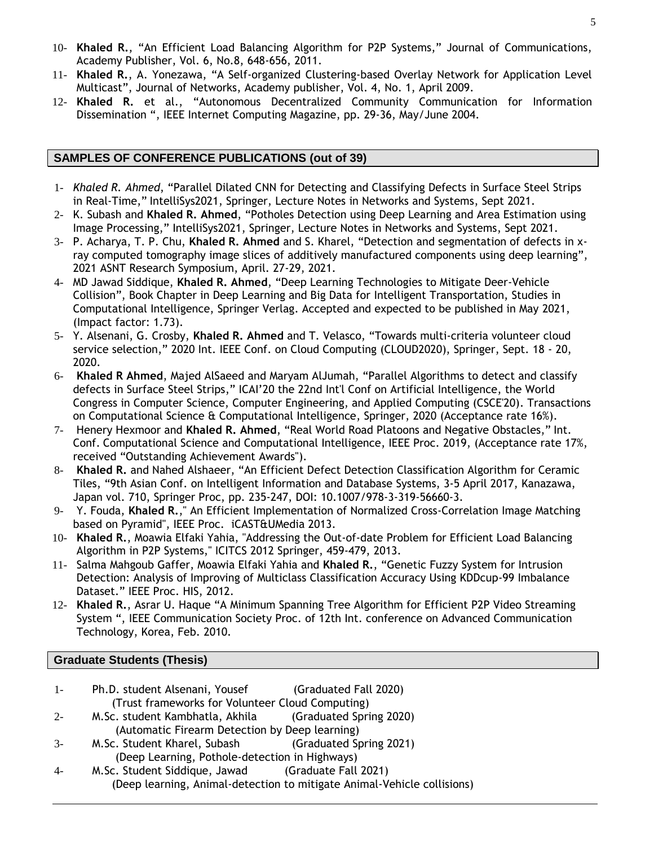- 10- **Khaled R.**, "An Efficient Load Balancing Algorithm for P2P Systems," Journal of Communications, Academy Publisher, Vol. 6, No.8, 648-656, 2011.
- 11- **Khaled R.**, A. Yonezawa, "A Self-organized Clustering-based Overlay Network for Application Level Multicast", Journal of Networks, Academy publisher, Vol. 4, No. 1, April 2009.
- 12- **Khaled R.** et al., "Autonomous Decentralized Community Communication for Information Dissemination ", IEEE Internet Computing Magazine, pp. 29-36, May/June 2004.

### **SAMPLES OF CONFERENCE PUBLICATIONS (out of 39)**

- 1- *Khaled R. Ahmed*, "Parallel Dilated CNN for Detecting and Classifying Defects in Surface Steel Strips in Real-Time," IntelliSys2021, Springer, Lecture Notes in Networks and Systems, Sept 2021.
- 2- K. Subash and **Khaled R. Ahmed**, "Potholes Detection using Deep Learning and Area Estimation using Image Processing," IntelliSys2021, Springer, Lecture Notes in Networks and Systems, Sept 2021.
- 3- P. Acharya, T. P. Chu, **Khaled R. Ahmed** and S. Kharel, "Detection and segmentation of defects in xray computed tomography image slices of additively manufactured components using deep learning", 2021 ASNT Research Symposium, April. 27-29, 2021.
- 4- MD Jawad Siddique, **Khaled R. Ahmed**, "Deep Learning Technologies to Mitigate Deer-Vehicle Collision", Book Chapter in Deep Learning and Big Data for Intelligent Transportation, Studies in Computational Intelligence, Springer Verlag. Accepted and expected to be published in May 2021, (Impact factor: 1.73).
- 5- Y. Alsenani, G. Crosby, **Khaled R. Ahmed** and T. Velasco, "Towards multi-criteria volunteer cloud service selection," 2020 Int. IEEE Conf. on Cloud Computing (CLOUD2020), Springer, Sept. 18 - 20, 2020.
- 6- **Khaled R Ahmed**, Majed AlSaeed and Maryam AlJumah, "Parallel Algorithms to detect and classify defects in Surface Steel Strips," ICAI'20 the 22nd Int'l Conf on Artificial Intelligence, the World Congress in Computer Science, Computer Engineering, and Applied Computing (CSCE'20). Transactions on Computational Science & Computational Intelligence, Springer, 2020 (Acceptance rate 16%).
- 7- Henery Hexmoor and **Khaled R. Ahmed**, "Real World Road Platoons and Negative Obstacles," Int. Conf. Computational Science and Computational Intelligence, IEEE Proc. 2019, (Acceptance rate 17%, received "Outstanding Achievement Awards").
- 8- **Khaled R.** and Nahed Alshaeer, "An Efficient Defect Detection Classification Algorithm for Ceramic Tiles, "9th Asian Conf. on Intelligent Information and Database Systems, 3-5 April 2017, Kanazawa, Japan vol. 710, Springer Proc, pp. 235-247, DOI: 10.1007/978-3-319-56660-3.
- 9- Y. Fouda, **Khaled R.**," An Efficient Implementation of Normalized Cross-Correlation Image Matching based on Pyramid", IEEE Proc. iCAST&UMedia 2013.
- 10- **Khaled R.**, Moawia Elfaki Yahia, "Addressing the Out-of-date Problem for Efficient Load Balancing Algorithm in P2P Systems," ICITCS 2012 Springer, 459-479, 2013.
- 11- Salma Mahgoub Gaffer, Moawia Elfaki Yahia and **Khaled R.**, "Genetic Fuzzy System for Intrusion Detection: Analysis of Improving of Multiclass Classification Accuracy Using KDDcup-99 Imbalance Dataset." IEEE Proc. HIS, 2012.
- 12- **Khaled R.**, Asrar U. Haque "A Minimum Spanning Tree Algorithm for Efficient P2P Video Streaming System ", IEEE Communication Society Proc. of 12th Int. conference on Advanced Communication Technology, Korea, Feb. 2010.

#### **Graduate Students (Thesis)**

- 1- Ph.D. student Alsenani, Yousef (Graduated Fall 2020) (Trust frameworks for Volunteer Cloud Computing)
- 2- M.Sc. student Kambhatla, Akhila (Graduated Spring 2020) (Automatic Firearm Detection by Deep learning)
- 3- M.Sc. Student Kharel, Subash (Graduated Spring 2021) (Deep Learning, Pothole-detection in Highways)
- 4- M.Sc. Student Siddique, Jawad (Graduate Fall 2021) (Deep learning, Animal-detection to mitigate Animal-Vehicle collisions)